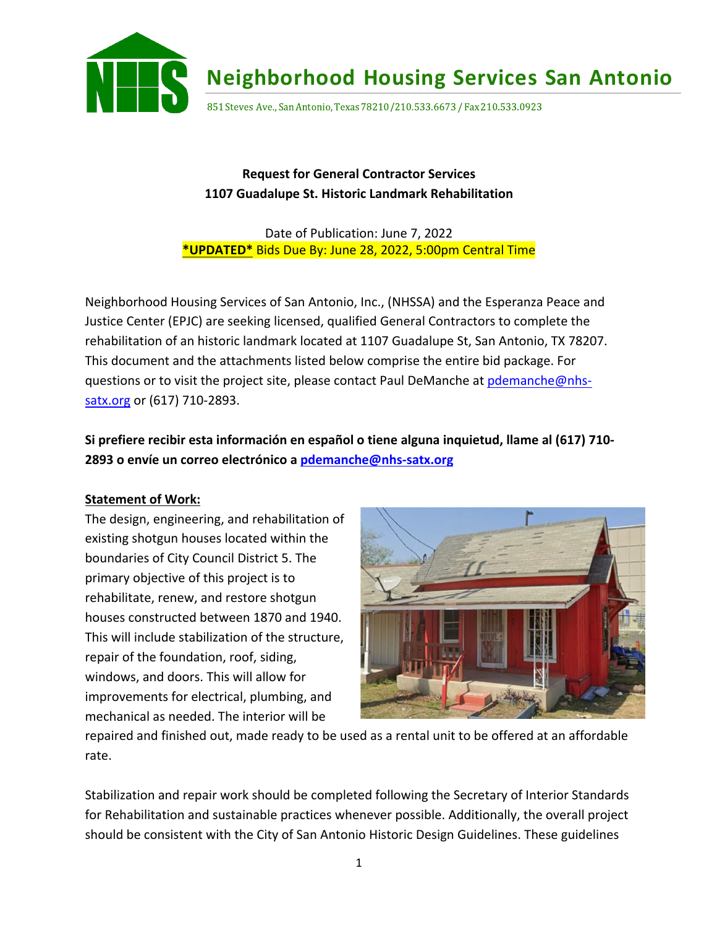

**Neighborhood Housing Services San Antonio**

851 Steves Ave., San Antonio, Texas 78210/210.533.6673 / Fax 210.533.0923

# **Request for General Contractor Services 1107 Guadalupe St. Historic Landmark Rehabilitation**

### Date of Publication: June 7, 2022 **\*UPDATED\*** Bids Due By: June 28, 2022, 5:00pm Central Time

Neighborhood Housing Services of San Antonio, Inc., (NHSSA) and the Esperanza Peace and Justice Center (EPJC) are seeking licensed, qualified General Contractors to complete the rehabilitation of an historic landmark located at 1107 Guadalupe St, San Antonio, TX 78207. This document and the attachments listed below comprise the entire bid package. For questions or to visit the project site, please contact Paul DeManche at pdemanche@nhssatx.org or (617) 710-2893.

**Si prefiere recibir esta información en español o tiene alguna inquietud, llame al (617) 710- 2893 o envíe un correo electrónico a pdemanche@nhs-satx.org**

### **Statement of Work:**

The design, engineering, and rehabilitation of existing shotgun houses located within the boundaries of City Council District 5. The primary objective of this project is to rehabilitate, renew, and restore shotgun houses constructed between 1870 and 1940. This will include stabilization of the structure, repair of the foundation, roof, siding, windows, and doors. This will allow for improvements for electrical, plumbing, and mechanical as needed. The interior will be



repaired and finished out, made ready to be used as a rental unit to be offered at an affordable rate.

Stabilization and repair work should be completed following the Secretary of Interior Standards for Rehabilitation and sustainable practices whenever possible. Additionally, the overall project should be consistent with the City of San Antonio Historic Design Guidelines. These guidelines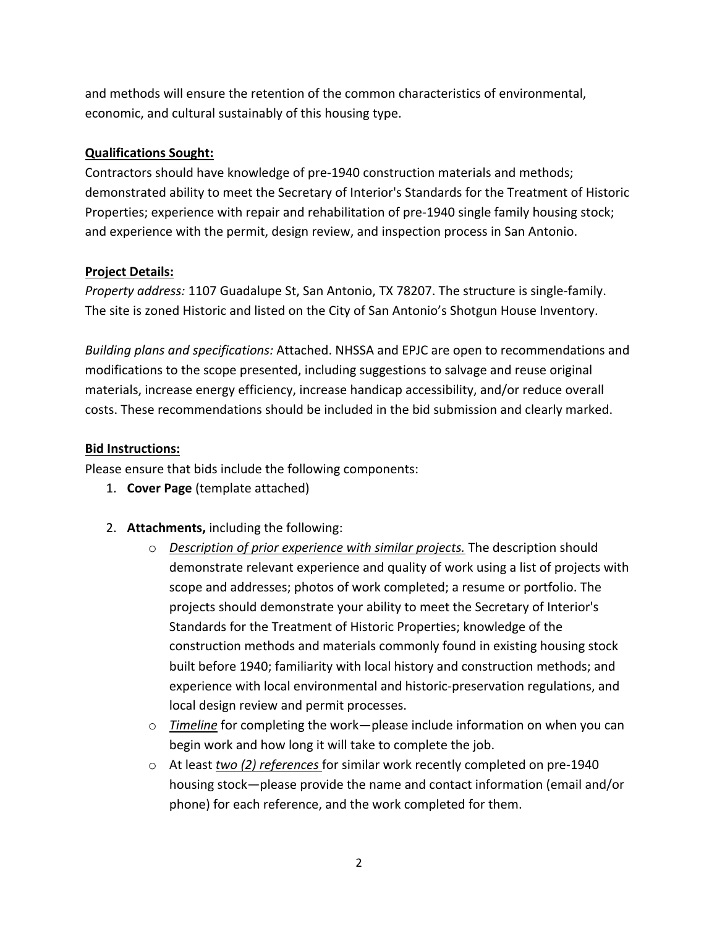and methods will ensure the retention of the common characteristics of environmental, economic, and cultural sustainably of this housing type.

#### **Qualifications Sought:**

Contractors should have knowledge of pre-1940 construction materials and methods; demonstrated ability to meet the Secretary of Interior's Standards for the Treatment of Historic Properties; experience with repair and rehabilitation of pre-1940 single family housing stock; and experience with the permit, design review, and inspection process in San Antonio.

#### **Project Details:**

*Property address:* 1107 Guadalupe St, San Antonio, TX 78207. The structure is single-family. The site is zoned Historic and listed on the City of San Antonio's Shotgun House Inventory.

*Building plans and specifications:* Attached. NHSSA and EPJC are open to recommendations and modifications to the scope presented, including suggestions to salvage and reuse original materials, increase energy efficiency, increase handicap accessibility, and/or reduce overall costs. These recommendations should be included in the bid submission and clearly marked.

#### **Bid Instructions:**

Please ensure that bids include the following components:

- 1. **Cover Page** (template attached)
- 2. **Attachments,** including the following:
	- o *Description of prior experience with similar projects.* The description should demonstrate relevant experience and quality of work using a list of projects with scope and addresses; photos of work completed; a resume or portfolio. The projects should demonstrate your ability to meet the Secretary of Interior's Standards for the Treatment of Historic Properties; knowledge of the construction methods and materials commonly found in existing housing stock built before 1940; familiarity with local history and construction methods; and experience with local environmental and historic-preservation regulations, and local design review and permit processes.
	- o *Timeline* for completing the work—please include information on when you can begin work and how long it will take to complete the job.
	- o At least *two (2) references* for similar work recently completed on pre-1940 housing stock—please provide the name and contact information (email and/or phone) for each reference, and the work completed for them.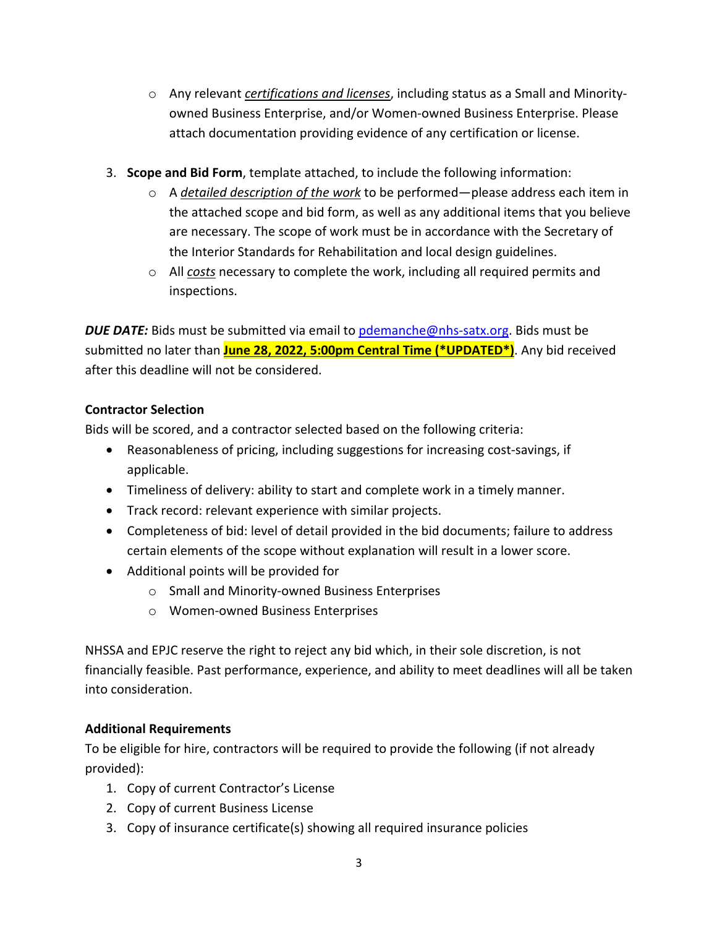- o Any relevant *certifications and licenses*, including status as a Small and Minorityowned Business Enterprise, and/or Women-owned Business Enterprise. Please attach documentation providing evidence of any certification or license.
- 3. **Scope and Bid Form**, template attached, to include the following information:
	- o A *detailed description of the work* to be performed—please address each item in the attached scope and bid form, as well as any additional items that you believe are necessary. The scope of work must be in accordance with the Secretary of the Interior Standards for Rehabilitation and local design guidelines.
	- o All *costs* necessary to complete the work, including all required permits and inspections.

*DUE DATE:* Bids must be submitted via email to pdemanche@nhs-satx.org. Bids must be submitted no later than **June 28, 2022, 5:00pm Central Time (\*UPDATED\*)**. Any bid received after this deadline will not be considered.

## **Contractor Selection**

Bids will be scored, and a contractor selected based on the following criteria:

- Reasonableness of pricing, including suggestions for increasing cost-savings, if applicable.
- Timeliness of delivery: ability to start and complete work in a timely manner.
- Track record: relevant experience with similar projects.
- Completeness of bid: level of detail provided in the bid documents; failure to address certain elements of the scope without explanation will result in a lower score.
- Additional points will be provided for
	- o Small and Minority-owned Business Enterprises
	- o Women-owned Business Enterprises

NHSSA and EPJC reserve the right to reject any bid which, in their sole discretion, is not financially feasible. Past performance, experience, and ability to meet deadlines will all be taken into consideration.

## **Additional Requirements**

To be eligible for hire, contractors will be required to provide the following (if not already provided):

- 1. Copy of current Contractor's License
- 2. Copy of current Business License
- 3. Copy of insurance certificate(s) showing all required insurance policies